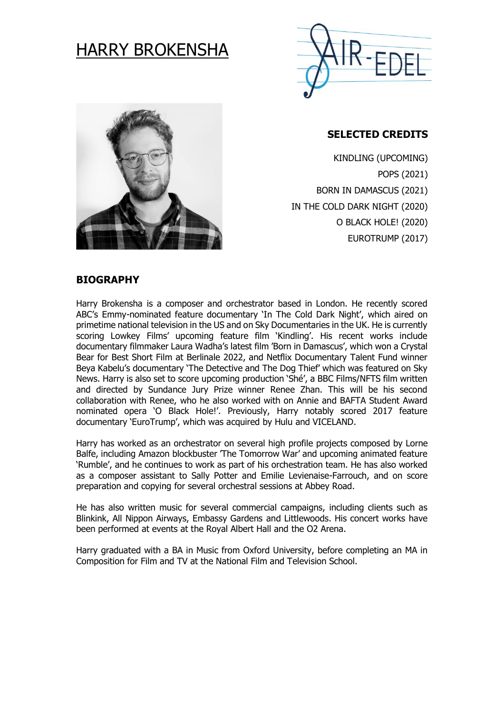

# HARRY BROKENSHA



# **SELECTED CREDITS**

KINDLING (UPCOMING) POPS (2021) BORN IN DAMASCUS (2021) IN THE COLD DARK NIGHT (2020) O BLACK HOLE! (2020) EUROTRUMP (2017)

# **BIOGRAPHY**

Harry Brokensha is a composer and orchestrator based in London. He recently scored ABC's Emmy-nominated feature documentary 'In The Cold Dark Night', which aired on primetime national television in the US and on Sky Documentaries in the UK. He is currently scoring Lowkey Films' upcoming feature film 'Kindling'. His recent works include documentary filmmaker Laura Wadha's latest film 'Born in Damascus', which won a Crystal Bear for Best Short Film at Berlinale 2022, and Netflix Documentary Talent Fund winner Beya Kabelu's documentary 'The Detective and The Dog Thief' which was featured on Sky News. Harry is also set to score upcoming production 'Shé', a BBC Films/NFTS film written and directed by Sundance Jury Prize winner Renee Zhan. This will be his second collaboration with Renee, who he also worked with on Annie and BAFTA Student Award nominated opera 'O Black Hole!'. Previously, Harry notably scored 2017 feature documentary 'EuroTrump', which was acquired by Hulu and VICELAND.

Harry has worked as an orchestrator on several high profile projects composed by Lorne Balfe, including Amazon blockbuster 'The Tomorrow War' and upcoming animated feature 'Rumble', and he continues to work as part of his orchestration team. He has also worked as a composer assistant to Sally Potter and Emilie Levienaise-Farrouch, and on score preparation and copying for several orchestral sessions at Abbey Road.

He has also written music for several commercial campaigns, including clients such as Blinkink, All Nippon Airways, Embassy Gardens and Littlewoods. His concert works have been performed at events at the Royal Albert Hall and the O2 Arena.

Harry graduated with a BA in Music from Oxford University, before completing an MA in Composition for Film and TV at the National Film and Television School.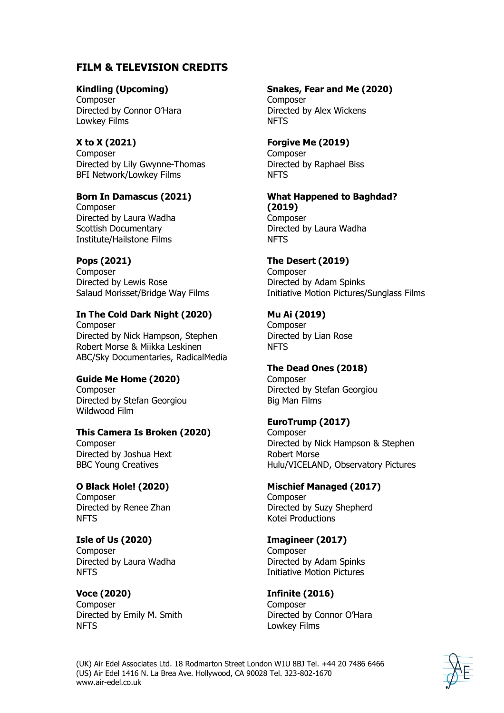# **FILM & TELEVISION CREDITS**

## **Kindling (Upcoming)**

Composer Directed by Connor O'Hara Lowkey Films

# **X to X (2021)**

Composer Directed by Lily Gwynne-Thomas BFI Network/Lowkey Films

#### **Born In Damascus (2021)**

Composer Directed by Laura Wadha Scottish Documentary Institute/Hailstone Films

# **Pops (2021)**

Composer Directed by Lewis Rose Salaud Morisset/Bridge Way Films

#### **In The Cold Dark Night (2020)** Composer

Directed by Nick Hampson, Stephen Robert Morse & Miikka Leskinen ABC/Sky Documentaries, RadicalMedia

# **Guide Me Home (2020)**

Composer Directed by Stefan Georgiou Wildwood Film

# **This Camera Is Broken (2020)**

Composer Directed by Joshua Hext BBC Young Creatives

# **O Black Hole! (2020)**

**Composer** Directed by Renee Zhan NFTS

# **Isle of Us (2020)**

Composer Directed by Laura Wadha NFTS

#### **Voce (2020)** Composer Directed by Emily M. Smith NFTS

## **Snakes, Fear and Me (2020)**

**Composer** Directed by Alex Wickens NFTS

## **Forgive Me (2019)**

Composer Directed by Raphael Biss NFTS

#### **What Happened to Baghdad? (2019)**

Composer Directed by Laura Wadha NFTS

# **The Desert (2019)**

**Composer** Directed by Adam Spinks Initiative Motion Pictures/Sunglass Films

## **Mu Ai (2019)**

**Composer** Directed by Lian Rose NFTS

#### **The Dead Ones (2018)**

**Composer** Directed by Stefan Georgiou Big Man Films

# **EuroTrump (2017)**

**Composer** Directed by Nick Hampson & Stephen Robert Morse Hulu/VICELAND, Observatory Pictures

#### **Mischief Managed (2017) Composer** Directed by Suzy Shepherd Kotei Productions

# **Imagineer (2017)**

**Composer** Directed by Adam Spinks Initiative Motion Pictures

# **Infinite (2016)**

**Composer** Directed by Connor O'Hara Lowkey Films